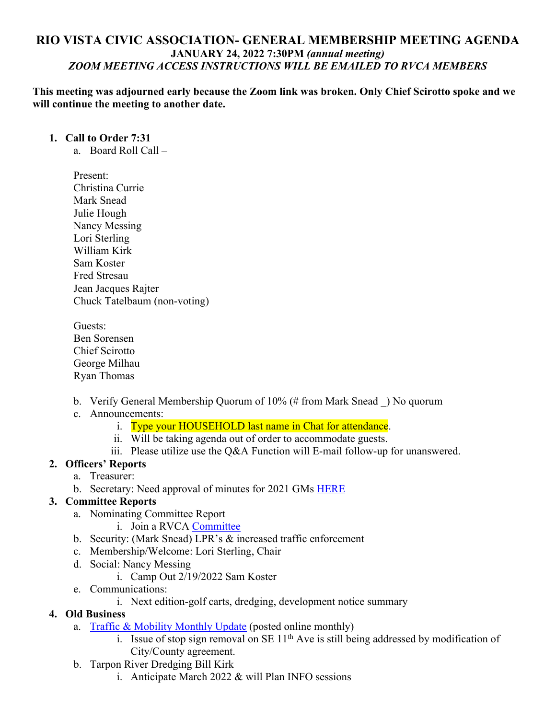# **RIO VISTA CIVIC ASSOCIATION- GENERAL MEMBERSHIP MEETING AGENDA JANUARY 24, 2022 7:30PM** *(annual meeting) ZOOM MEETING ACCESS INSTRUCTIONS WILL BE EMAILED TO RVCA MEMBERS*

**This meeting was adjourned early because the Zoom link was broken. Only Chief Scirotto spoke and we will continue the meeting to another date.** 

#### **1. Call to Order 7:31**

- a. Board Roll Call –
- Present: Christina Currie Mark Snead Julie Hough Nancy Messing Lori Sterling William Kirk Sam Koster Fred Stresau Jean Jacques Rajter Chuck Tatelbaum (non-voting)
- Guests: Ben Sorensen Chief Scirotto George Milhau Ryan Thomas
- b. Verify General Membership Quorum of 10% (# from Mark Snead \_) No quorum
- c. Announcements:
	- i. Type your HOUSEHOLD last name in Chat for attendance.
	- ii. Will be taking agenda out of order to accommodate guests.
	- iii. Please utilize use the Q&A Function will E-mail follow-up for unanswered.

### **2. Officers' Reports**

- a. Treasurer:
- b. Secretary: Need approval of minutes for 2021 GMs HERE

# **3. Committee Reports**

- a. Nominating Committee Report
	- i. Join a RVCA Committee
- b. Security: (Mark Snead) LPR's & increased traffic enforcement
- c. Membership/Welcome: Lori Sterling, Chair
- d. Social: Nancy Messing
	- i. Camp Out 2/19/2022 Sam Koster
- e. Communications:
	- i. Next edition-golf carts, dredging, development notice summary

### **4. Old Business**

- a. Traffic & Mobility Monthly Update (posted online monthly)
	- i. Issue of stop sign removal on SE  $11<sup>th</sup>$  Ave is still being addressed by modification of City/County agreement.
- b. Tarpon River Dredging Bill Kirk
	- i. Anticipate March  $2022 \&$  will Plan INFO sessions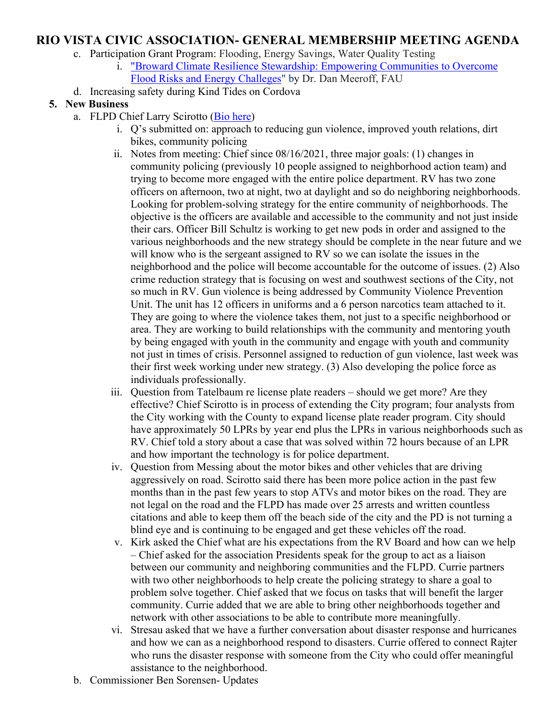# **RIO VISTA CIVIC ASSOCIATION- GENERAL MEMBERSHIP MEETING AGENDA**

- c. Participation Grant Program: Flooding, Energy Savings, Water Quality Testing
	- i. "Broward Climate Resilience Stewardship: Empowering Communities to Overcome Flood Risks and Energy Challeges" by Dr. Dan Meeroff, FAU
- d. Increasing safety during Kind Tides on Cordova

#### **5. New Business**

- a. FLPD Chief Larry Scirotto (Bio here)
	- i. Q's submitted on: approach to reducing gun violence, improved youth relations, dirt bikes, community policing
	- ii. Notes from meeting: Chief since 08/16/2021, three major goals: (1) changes in community policing (previously 10 people assigned to neighborhood action team) and trying to become more engaged with the entire police department. RV has two zone officers on afternoon, two at night, two at daylight and so do neighboring neighborhoods. Looking for problem-solving strategy for the entire community of neighborhoods. The objective is the officers are available and accessible to the community and not just inside their cars. Officer Bill Schultz is working to get new pods in order and assigned to the various neighborhoods and the new strategy should be complete in the near future and we will know who is the sergeant assigned to RV so we can isolate the issues in the neighborhood and the police will become accountable for the outcome of issues. (2) Also crime reduction strategy that is focusing on west and southwest sections of the City, not so much in RV. Gun violence is being addressed by Community Violence Prevention Unit. The unit has 12 officers in uniforms and a 6 person narcotics team attached to it. They are going to where the violence takes them, not just to a specific neighborhood or area. They are working to build relationships with the community and mentoring youth by being engaged with youth in the community and engage with youth and community not just in times of crisis. Personnel assigned to reduction of gun violence, last week was their first week working under new strategy. (3) Also developing the police force as individuals professionally.
	- iii. Question from Tatelbaum re license plate readers should we get more? Are they effective? Chief Scirotto is in process of extending the City program; four analysts from the City working with the County to expand license plate reader program. City should have approximately 50 LPRs by year end plus the LPRs in various neighborhoods such as RV. Chief told a story about a case that was solved within 72 hours because of an LPR and how important the technology is for police department.
	- iv. Question from Messing about the motor bikes and other vehicles that are driving aggressively on road. Scirotto said there has been more police action in the past few months than in the past few years to stop ATVs and motor bikes on the road. They are not legal on the road and the FLPD has made over 25 arrests and written countless citations and able to keep them off the beach side of the city and the PD is not turning a blind eye and is continuing to be engaged and get these vehicles off the road.
	- v. Kirk asked the Chief what are his expectations from the RV Board and how can we help – Chief asked for the association Presidents speak for the group to act as a liaison between our community and neighboring communities and the FLPD. Currie partners with two other neighborhoods to help create the policing strategy to share a goal to problem solve together. Chief asked that we focus on tasks that will benefit the larger community. Currie added that we are able to bring other neighborhoods together and network with other associations to be able to contribute more meaningfully.
	- vi. Stresau asked that we have a further conversation about disaster response and hurricanes and how we can as a neighborhood respond to disasters. Currie offered to connect Rajter who runs the disaster response with someone from the City who could offer meaningful assistance to the neighborhood.
- b. Commissioner Ben Sorensen- Updates